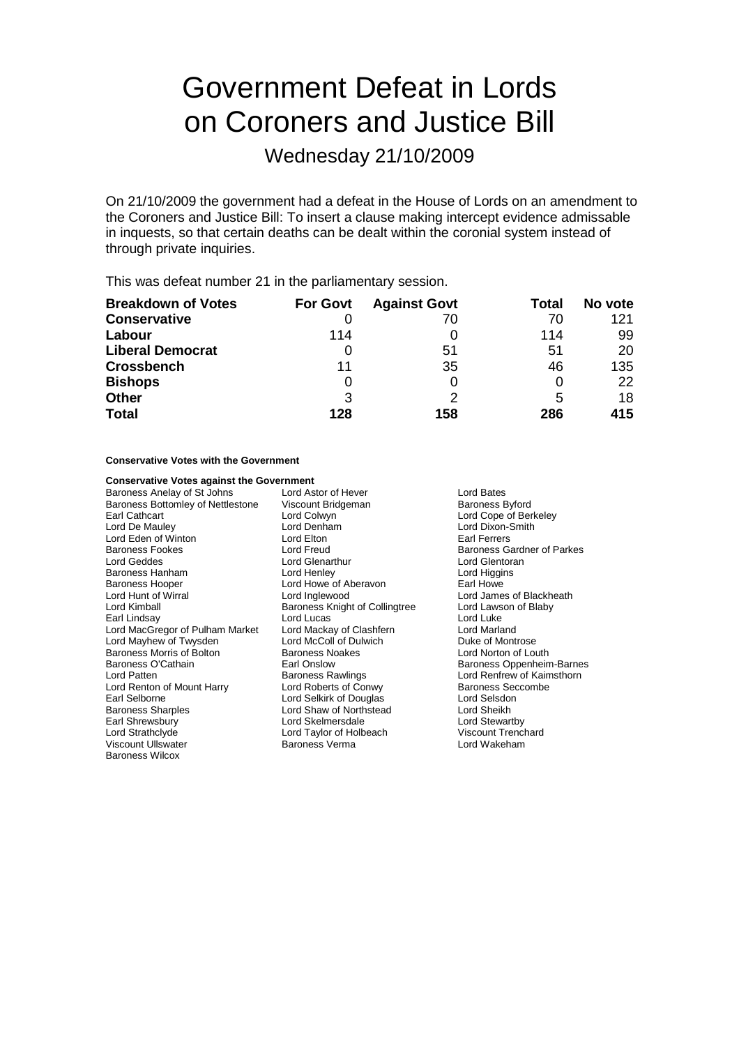# Government Defeat in Lords on Coroners and Justice Bill

Wednesday 21/10/2009

On 21/10/2009 the government had a defeat in the House of Lords on an amendment to the Coroners and Justice Bill: To insert a clause making intercept evidence admissable in inquests, so that certain deaths can be dealt within the coronial system instead of through private inquiries.

This was defeat number 21 in the parliamentary session.

| <b>Breakdown of Votes</b> | <b>For Govt</b> | <b>Against Govt</b> | Total | No vote |
|---------------------------|-----------------|---------------------|-------|---------|
| <b>Conservative</b>       |                 | 70                  | 70    | 121     |
| Labour                    | 114             |                     | 114   | 99      |
| <b>Liberal Democrat</b>   |                 | 51                  | 51    | 20      |
| <b>Crossbench</b>         | 11              | 35                  | 46    | 135     |
| <b>Bishops</b>            | 0               | 0                   |       | 22      |
| <b>Other</b>              | 3               | っ                   | 5     | 18      |
| <b>Total</b>              | 128             | 158                 | 286   | 415     |

#### **Conservative Votes with the Government**

#### **Conservative Votes against the Government**

Baroness Anelay of St Johns Lord Astor of Hever Lord Bates Baroness Bottomley of Nettlestone Viscount Bridgeman Baroness Byford<br>
Earl Cathcart Baroness Byford Lord Colwyn<br>
Lord Colwyn Lord Colwyn Earl Cathcart Lord Colwyn Lord Cope of Berkeley Lord Eden of Winton **Lord Elton** Baroness Fookes **Example 2** Exercise Lord Freud Baroness Gardner of Parkes<br> **Example Baroness Cardinal Baroness Cardinal Baroness Lord Glentoran**<br>
Lord Geddes Baroness Hanham Baroness Hooper **Lord Howe of Aberavon** Earl Howe Lord Hunt of Wirral **Lord Inglewood** Lord Inglewood Lord James of Blackheath<br>
Lord Kimball **Lord Lawson of Blaby** Earl Lindsay<br>
Lord MacGregor of Pulham Market Lord Mackay of Clashfern Lord MacGregor of Pulham Market Lord Mackay of Clashfern Lord Marland<br>
Lord Mavhew of Twysden Lord McColl of Dulwich Lord Multe of Montrose Lord Mayhew of Twysden Lord McColl of Dulwich Duke of Montrose<br>
Baroness Morris of Bolton Baroness Noakes Duke of Morton of Louth Baroness Morris of Bolton<br>Baroness O'Cathain Lord Patten **Baroness Rawlings** Lord Renfrew of Kaimsthorn<br>
Lord Renton of Mount Harry **Lord Roberts of Conwy** Baroness Seccombe Lord Renton of Mount Harry Lord Roberts of Conwy<br>
Lord Selborne Carl Selborne Lord Selkirk of Douglas Lord Selsdon Baroness Sharples Lord Shaw of Northstead Lord Sheikh Earl Shrewsbury **Earl Shrewsbury** Lord Skelmersdale **Lord Stewartby**<br>
Lord Strathclyde **Lord Taylor** of Holbeach **Corporat Corporat Strathclyde** Lord Trenchard Viscount Ullswater **Baroness Verma** Baroness Wilcox

Lord Glenarthur Lord Glentorand Lord Glentorand Lord Glentorand Lord Higgins Baroness Knight of Collingtree Lord Laws<br>Lord Lucas Lord Selkirk of Douglas Lord Taylor of Holbeach Viscount Trenchard<br>Baroness Verma Viscount Lord Wakeham

Lord Dixon-Smith<br>Farl Ferrers Earl Onslow Baroness Oppenheim-Barnes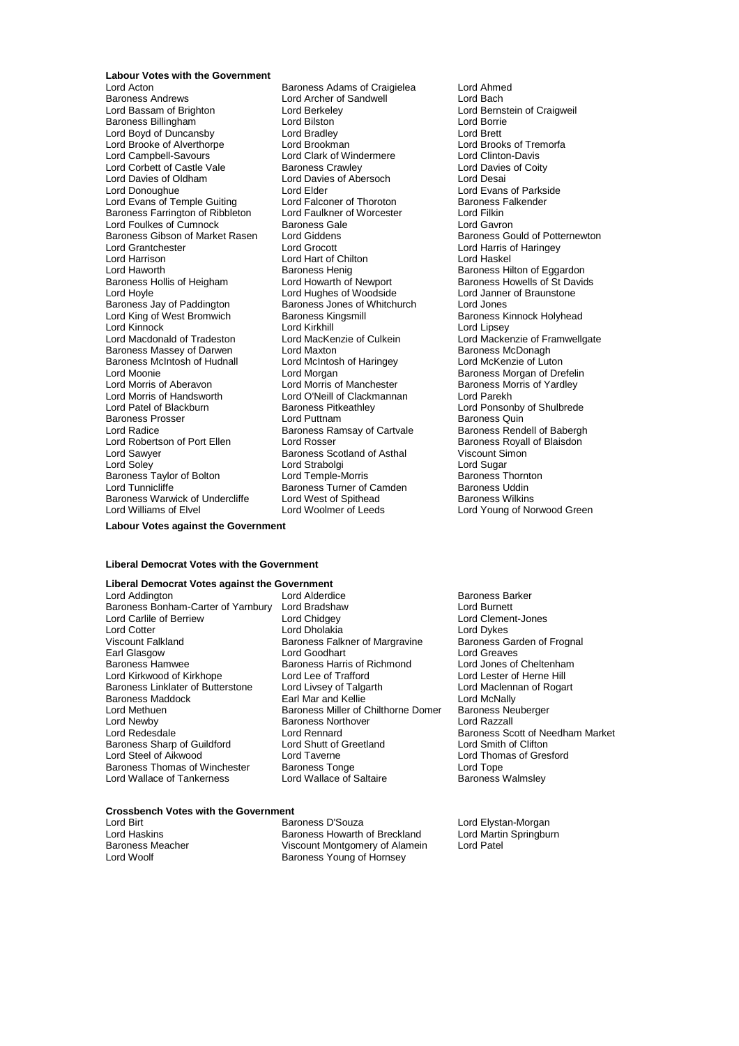### **Labour Votes with the Government**<br>Lord Acton

Baroness Andrews **Lord Archer of Sandwell**<br> **Lord Bassam of Brighton Lord Berkeley** Lord Bassam of Brighton Lord Berkeley Lord Bernstein of Craigweil Baroness Billingham **Example 2** Lord Bilston **Container Container Container Container** Lord Borrie<br>
Lord Bord Container Lord Bradlev<br>
Lord Brett Lord Brett Lord Brett Lord Brett Lord Brett Lord Brett Lord Brett Lord Brett Lord Boyd of Duncansby Lord Bradley Lord Brett Lord Brooke of Alverthorpe Lord Brookman and Lord Brooks of Tremorfacture Lord Brooks of Tremorfacture Lord Brooks of Tremorfacture Lord Clark of Windermere Lord Clinton-Davis Lord Corbett of Castle Vale Baroness Crawley Cord Corbett of Castle Vale Baroness Crawley<br>
Lord Davies of Coldham Lord Davies of Abersoch Lord Desai Lord Donoughue Lord Elder Lord Elder Lord Elder Lord Evans of Parkside<br>Lord Evans of Temple Guiting Lord Falconer of Thoroton Baroness Falkender Lord Evans of Temple Guiting Lord Falconer of Thoroton Baroness F<br>Baroness Farrington of Ribbleton Lord Faulkner of Worcester Lord Filkin Baroness Farrington of Ribbleton Lord Faulkner of Worcester Lord Filkin<br>Lord Foulkes of Cumnock Baroness Gale Cord Cloud Gayron Lord Foulkes of Cumnock Baroness Gale Lord Gavron Baroness Gibson of Market Rasen<br>Lord Grantchester Lord Grantchester Lord Grocott Lord Harris of Haringey Lord Harrison **Lord Hart of Chilton**<br>
Lord Haworth **Chilton Baroness Henig** Lord Haworth<br>Baroness Henig Baroness Henig Baroness Henig Baroness Hilton of Eggardon<br>Baroness Hollis of Heigham Lord Howarth of Newport Baroness Howells of St David Baroness Hollis of Heigham Lord Howarth of Newport Baroness Howells of St Davids<br>
Lord Hoyle Lord Hughes of Woodside Lord Janner of Braunstone Baroness Jay of Paddington Lord King of West Bromwich Baroness Kingsmill Baroness Kinnock Holyhead<br>
Lord Kinnock Bromwich Baroness Kingsmill<br>
Lord Kinnock Bromwich Baroness Kingsmill<br>
Lord Kinnock Bromwich Baroness Kingsmill Lord Kinnock<br>
Lord Macdonald of Tradeston<br>
Lord MacKenzie of Culkein Baroness Massey of Darwen Lord Maxton<br>Baroness McIntosh of Hudnall Lord McIntosh of Haringey Baroness McIntosh of Hudnall Lord McIntosh of Haringey Lord McKenzie of Luton<br>Lord Moonie Lord Morgan Lord Morgan Baroness Morgan of Dre Lord Moonie **Lord Morgan** Baroness Morgan of Drefelin<br>
Lord Moris of Aberavon Lord Morris of Manchester **Baroness Morris of Yardley** Lord Morris of Handsworth Lord O'Neill of Clackmannan<br>
Lord Patel of Blackburn Baroness Pitkeathley Baroness Prosser **Example 2** Lord Puttnam **Baroness Cultum** Baroness Quin<br>
Lord Radice **Baroness Ramsay of Cartyale** Baroness Rendell of Babergh Lord Robertson of Port Ellen Lord Rosser Cord Rosser Baroness Royal<br>
Lord Sawyer Cord Raroness Scotland of Asthal Ciscount Simon Lord Soley Lord Strabolgi Lord Sugar Baroness Taylor of Bolton **Lord Temple-Morris Baroness Thornton** Baroness Taylor of Bolton **Lord Temple-Morris** Entriest Corress Thornto<br>
Lord Tunnicliffe Baroness Turner of Camden Baroness Uddin<br>
Baroness Warwick of Undercliffe Lord West of Spithead Baroness Wilkins Baroness Warwick of Undercliffe Lord West of Spithead<br>
Lord Williams of Elvel Lord Woolmer of Leeds

Exaroness Adams of Craigielea Lord Ahmed<br>
Lord Archer of Sandwell **Lord Bach** Lord Clark of Windermere<br>
Baroness Crawley<br>
Lord Davies of Coity Lord Davies of Abersoch Lord Hughes of Woodside<br>
Baroness Jones of Whitchurch<br>
Lord Jones **Baroness Pitkeathley Communist Consonby of Shulbrede Lord Ponsonby of Shulbrede**<br>
Lord Puttnam Lord Baroness Quin Lord Radice Baroness Rendell of Baroness Rendell of Babergh<br>
Lord Rosser Cord Rosser<br>
Lord Rosser Baroness Scotland of Asthal Viscount Simon Strabolgi<br>
Lord Strabolgi Viscount Sugar

Lord Mackenzie of Framwellgate<br>Baroness McDonagh Baroness Morris of Yardley<br>Lord Parekh Lord Young of Norwood Green

### **Labour Votes against the Government**

#### **Liberal Democrat Votes with the Government**

### **Liberal Democrat Votes against the Government**

Baroness Bonham-Carter of Yarnbury Lord Bradshaw Lord Burnett Lord Carlile of Berriew Lord Chidgey<br>
Lord Cotter Lord Cholakia Lord Cotter Lord Dolakia Lord Discussion Cord Cord Cotter Lord Dykes<br>Lord Dykes Lord Discussion Baroness Falkner of Margravine Baroness Garden of Frognal Earl Glasgow **Lexel Cooperance Cooperation**<br>
Baroness Hamilton Baroness Harris of Richmond Lord Jones of Cheltenham Lord Kirkwood of Kirkhope Lord Lee of Trafford<br>
Baroness Linklater of Butterstone Lord Livsey of Talgarth Lord Maclennan of Rogart Baroness Linklater of Butterstone Lord Livsey of Talgarth Lord Maclenn<br>Baroness Maddock Barl Mar and Kellie Lord McNally Baroness Maddock **Earl Mar and Kellie Collie Constant Constant** Lord McNally<br>
Lord Methuen **Earl Marchass Miller of Chilthorne Domer** Baroness Neuberger Lord Methuen **Baroness Miller of Chilthorne Domer** Baroness Neubergerers Neubergerers Neubergerers Neubergerer<br>Baroness Northover Lord Razzall Lord Newby **Baroness Northover**<br> **Example 20**<br>
Lord Rennard Baroness Sharp of Guildford Lord Steel of Aikwood Lord Taverne Lord Thomas of Gresford Baroness Thomas of Winchester Baroness Tonge<br>Lord Wallace of Tankerness Lord Wallace of Saltaire Lord Wallace of Tankerness Lord Wallace of Saltaire Baroness Walmsley

Lord Alderdice **Baroness Barker**<br>
Lord Bradshaw **Baroness Barker**<br>
Lord Burnett Baroness Falkner of Margravine Baroness Harris of Richmond Lord Jones of Cheltenham<br>
Lord Lee of Trafford Lord Lester of Herne Hill Lord Rennard **Baroness Scott of Needham Market**<br>
Lord Shutt of Greetland **Baroness Scott of Needham Market** 

### **Crossbench Votes with the Government**

Lord Birt **Communist Club Baroness D'Souza** Lord Elystan-Morgan<br>Lord Haskins **Communist Baroness Howarth of Breckland** Lord Martin Springburn Lord Haskins Baroness Howarth of Breckland<br>Baroness Meacher Baroness Howarth Of Breckland Chameler Viscount Montgomery of Alamein Lord Patel Lord Woolf **Baroness Young of Hornsey**